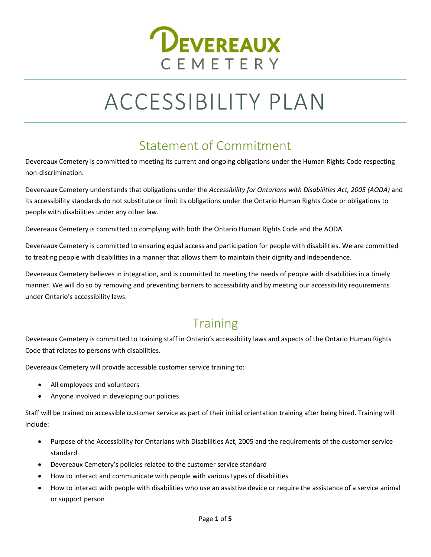

# ACCESSIBILITY PLAN

# Statement of Commitment

Devereaux Cemetery is committed to meeting its current and ongoing obligations under the Human Rights Code respecting non-discrimination.

Devereaux Cemetery understands that obligations under the *Accessibility for Ontarians with Disabilities Act, 2005 (AODA)* and its accessibility standards do not substitute or limit its obligations under the Ontario Human Rights Code or obligations to people with disabilities under any other law.

Devereaux Cemetery is committed to complying with both the Ontario Human Rights Code and the AODA.

Devereaux Cemetery is committed to ensuring equal access and participation for people with disabilities. We are committed to treating people with disabilities in a manner that allows them to maintain their dignity and independence.

Devereaux Cemetery believes in integration, and is committed to meeting the needs of people with disabilities in a timely manner. We will do so by removing and preventing barriers to accessibility and by meeting our accessibility requirements under Ontario's accessibility laws.

### **Training**

Devereaux Cemetery is committed to training staff in Ontario's accessibility laws and aspects of the Ontario Human Rights Code that relates to persons with disabilities.

Devereaux Cemetery will provide accessible customer service training to:

- All employees and volunteers
- Anyone involved in developing our policies

Staff will be trained on accessible customer service as part of their initial orientation training after being hired. Training will include:

- Purpose of the Accessibility for Ontarians with Disabilities Act, 2005 and the requirements of the customer service standard
- Devereaux Cemetery's policies related to the customer service standard
- How to interact and communicate with people with various types of disabilities
- How to interact with people with disabilities who use an assistive device or require the assistance of a service animal or support person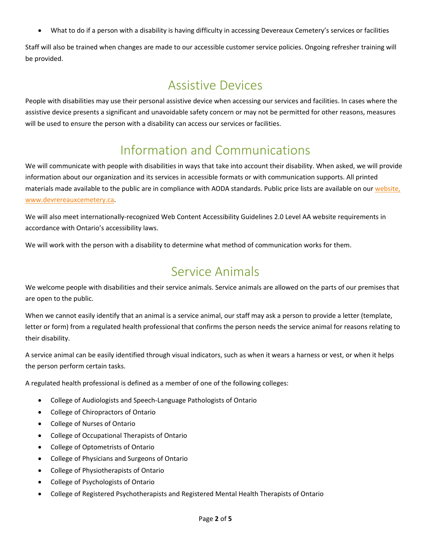• What to do if a person with a disability is having difficulty in accessing Devereaux Cemetery's services or facilities

Staff will also be trained when changes are made to our accessible customer service policies. Ongoing refresher training will be provided.

### Assistive Devices

People with disabilities may use their personal assistive device when accessing our services and facilities. In cases where the assistive device presents a significant and unavoidable safety concern or may not be permitted for other reasons, measures will be used to ensure the person with a disability can access our services or facilities.

# Information and Communications

We will communicate with people with disabilities in ways that take into account their disability. When asked, we will provide information about our organization and its services in accessible formats or with communication supports. All printed materials made available to the public are in compliance with AODA standards. Public price lists are available on our website, [www.devrereauxcemetery.ca.](http://www.devereauxcemetery.ca/)

We will also meet internationally-recognized Web Content Accessibility Guidelines 2.0 Level AA website requirements in accordance with Ontario's accessibility laws.

We will work with the person with a disability to determine what method of communication works for them.

### Service Animals

We welcome people with disabilities and their service animals. Service animals are allowed on the parts of our premises that are open to the public.

When we cannot easily identify that an animal is a service animal, our staff may ask a person to provide a letter (template, letter or form) from a regulated health professional that confirms the person needs the service animal for reasons relating to their disability.

A service animal can be easily identified through visual indicators, such as when it wears a harness or vest, or when it helps the person perform certain tasks.

A regulated health professional is defined as a member of one of the following colleges:

- College of Audiologists and Speech-Language Pathologists of Ontario
- College of Chiropractors of Ontario
- College of Nurses of Ontario
- College of Occupational Therapists of Ontario
- College of Optometrists of Ontario
- College of Physicians and Surgeons of Ontario
- College of Physiotherapists of Ontario
- College of Psychologists of Ontario
- College of Registered Psychotherapists and Registered Mental Health Therapists of Ontario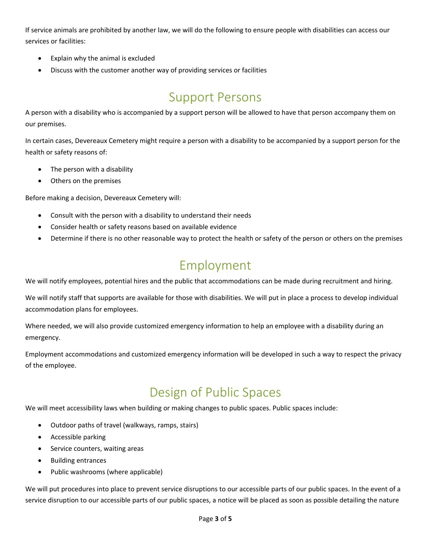If service animals are prohibited by another law, we will do the following to ensure people with disabilities can access our services or facilities:

- Explain why the animal is excluded
- Discuss with the customer another way of providing services or facilities

### Support Persons

A person with a disability who is accompanied by a support person will be allowed to have that person accompany them on our premises.

In certain cases, Devereaux Cemetery might require a person with a disability to be accompanied by a support person for the health or safety reasons of:

- The person with a disability
- Others on the premises

Before making a decision, Devereaux Cemetery will:

- Consult with the person with a disability to understand their needs
- Consider health or safety reasons based on available evidence
- Determine if there is no other reasonable way to protect the health or safety of the person or others on the premises

### Employment

We will notify employees, potential hires and the public that accommodations can be made during recruitment and hiring.

We will notify staff that supports are available for those with disabilities. We will put in place a process to develop individual accommodation plans for employees.

Where needed, we will also provide customized emergency information to help an employee with a disability during an emergency.

Employment accommodations and customized emergency information will be developed in such a way to respect the privacy of the employee.

## Design of Public Spaces

We will meet accessibility laws when building or making changes to public spaces. Public spaces include:

- Outdoor paths of travel (walkways, ramps, stairs)
- Accessible parking
- Service counters, waiting areas
- Building entrances
- Public washrooms (where applicable)

We will put procedures into place to prevent service disruptions to our accessible parts of our public spaces. In the event of a service disruption to our accessible parts of our public spaces, a notice will be placed as soon as possible detailing the nature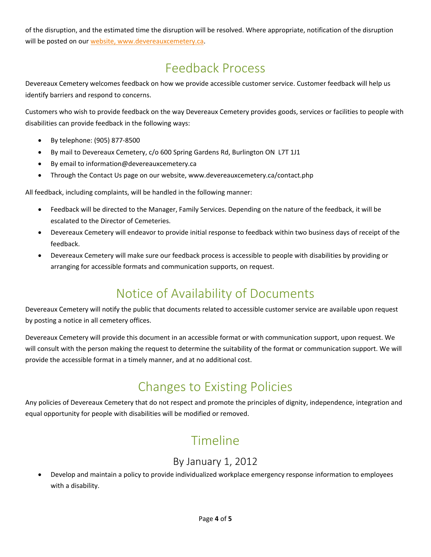of the disruption, and the estimated time the disruption will be resolved. Where appropriate, notification of the disruption will be posted on ou[r website, www.devereauxcemetery.ca.](http://www.devereauxcemetery.ca/)

# Feedback Process

Devereaux Cemetery welcomes feedback on how we provide accessible customer service. Customer feedback will help us identify barriers and respond to concerns.

Customers who wish to provide feedback on the way Devereaux Cemetery provides goods, services or facilities to people with disabilities can provide feedback in the following ways:

- By telephone: (905) 877-8500
- By mail to Devereaux Cemetery, c/o 600 Spring Gardens Rd, Burlington ON L7T 1J1
- By email to information@devereauxcemetery.ca
- Through the Contact Us page on our website, www.devereauxcemetery.ca/contact.php

All feedback, including complaints, will be handled in the following manner:

- Feedback will be directed to the Manager, Family Services. Depending on the nature of the feedback, it will be escalated to the Director of Cemeteries.
- Devereaux Cemetery will endeavor to provide initial response to feedback within two business days of receipt of the feedback.
- Devereaux Cemetery will make sure our feedback process is accessible to people with disabilities by providing or arranging for accessible formats and communication supports, on request.

# Notice of Availability of Documents

Devereaux Cemetery will notify the public that documents related to accessible customer service are available upon request by posting a notice in all cemetery offices.

Devereaux Cemetery will provide this document in an accessible format or with communication support, upon request. We will consult with the person making the request to determine the suitability of the format or communication support. We will provide the accessible format in a timely manner, and at no additional cost.

# Changes to Existing Policies

Any policies of Devereaux Cemetery that do not respect and promote the principles of dignity, independence, integration and equal opportunity for people with disabilities will be modified or removed.

# Timeline

### By January 1, 2012

• Develop and maintain a policy to provide individualized workplace emergency response information to employees with a disability.